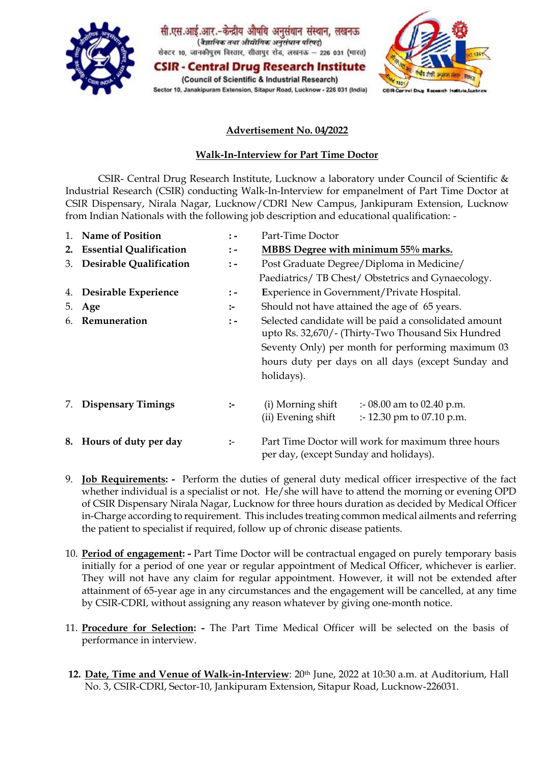

सी.एस.आई.आर.-केन्द्रीय औषधि अनुसंधान संस्थान, लखनऊ (वैज्ञानिक तथा औद्योगिक अनुसंधान परिषदू) सेक्टर 10, जानकीपुरम विस्तार, सीतापुर रोड, लखनऊ - 226 031 (भारत)

**CSIR - Central Drug Research Institute** (Council of Scientific & Industrial Research) Sector 10, Janakipuram Extension, Sitapur Road, Lucknow - 226 031 (India)



# **Advertisement No. 04/2022**

# **Walk-In-Interview for Part Time Doctor**

CSIR- Central Drug Research Institute, Lucknow a laboratory under Council of Scientific & Industrial Research (CSIR) conducting Walk-In-Interview for empanelment of Part Time Doctor at CSIR Dispensary, Nirala Nagar, Lucknow/CDRI New Campus, Jankipuram Extension, Lucknow from Indian Nationals with the following job description and educational qualification: -

| 1. | <b>Name of Position</b>        | $\ddot{ }$ =    | Part-Time Doctor                                                                                            |  |  |  |  |
|----|--------------------------------|-----------------|-------------------------------------------------------------------------------------------------------------|--|--|--|--|
| 2. | <b>Essential Qualification</b> | $\colon$ -      | MBBS Degree with minimum 55% marks.                                                                         |  |  |  |  |
| 3. | <b>Desirable Qualification</b> | $\colon$ -      | Post Graduate Degree/Diploma in Medicine/                                                                   |  |  |  |  |
|    |                                |                 | Paediatrics/ TB Chest/ Obstetrics and Gynaecology.                                                          |  |  |  |  |
| 4. | Desirable Experience           | $\frac{1}{2}$ – | Experience in Government/Private Hospital.                                                                  |  |  |  |  |
| 5. | Age                            | $:-$            | Should not have attained the age of 65 years.                                                               |  |  |  |  |
| 6. | Remuneration                   | $\colon$ -      | Selected candidate will be paid a consolidated amount<br>upto Rs. 32,670/- (Thirty-Two Thousand Six Hundred |  |  |  |  |
|    |                                |                 | Seventy Only) per month for performing maximum 03                                                           |  |  |  |  |
|    |                                |                 | hours duty per days on all days (except Sunday and                                                          |  |  |  |  |
|    |                                |                 | holidays).                                                                                                  |  |  |  |  |
| 7. | <b>Dispensary Timings</b>      | $:-$            | (i) Morning shift<br>:- 08.00 am to 02.40 p.m.<br>(ii) Evening shift<br>$\therefore$ 12.30 pm to 07.10 p.m. |  |  |  |  |
|    | 8. Hours of duty per day       | $:-$            | Part Time Doctor will work for maximum three hours<br>per day, (except Sunday and holidays).                |  |  |  |  |

- 9. **Job Requirements:** Perform the duties of general duty medical officer irrespective of the fact whether individual is a specialist or not. He/she will have to attend the morning or evening OPD of CSIR Dispensary Nirala Nagar, Lucknow for three hours duration as decided by Medical Officer in-Charge according to requirement. This includes treating common medical ailments and referring the patient to specialist if required, follow up of chronic disease patients.
- 10. **Period of engagement: -** Part Time Doctor will be contractual engaged on purely temporary basis initially for a period of one year or regular appointment of Medical Officer, whichever is earlier. They will not have any claim for regular appointment. However, it will not be extended after attainment of 65-year age in any circumstances and the engagement will be cancelled, at any time by CSIR-CDRI, without assigning any reason whatever by giving one-month notice.
- 11. **Procedure for Selection: -** The Part Time Medical Officer will be selected on the basis of performance in interview.
- 12. Date, Time and Venue of Walk-in-Interview: 20<sup>th</sup> June, 2022 at 10:30 a.m. at Auditorium, Hall No. 3, CSIR-CDRI, Sector-10, Jankipuram Extension, Sitapur Road, Lucknow-226031.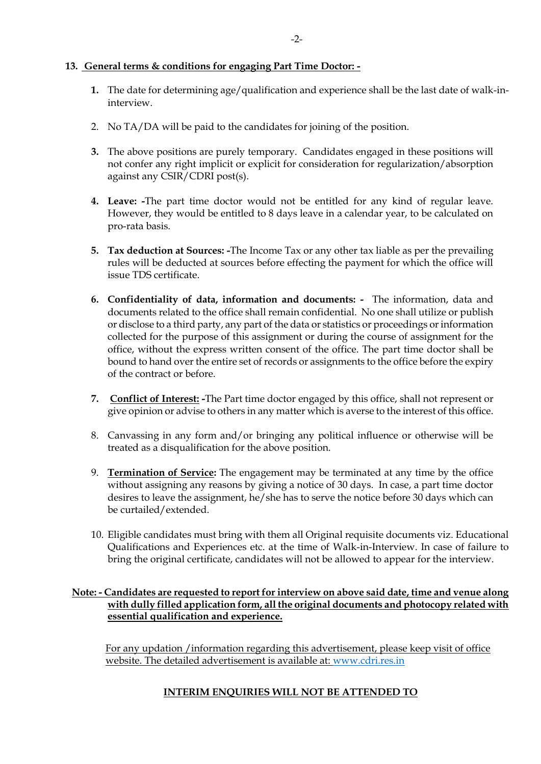#### **13. General terms & conditions for engaging Part Time Doctor: -**

- **1.** The date for determining age/qualification and experience shall be the last date of walk-ininterview.
- 2. No TA/DA will be paid to the candidates for joining of the position.
- **3.** The above positions are purely temporary. Candidates engaged in these positions will not confer any right implicit or explicit for consideration for regularization/absorption against any CSIR/CDRI post(s).
- **4. Leave: -**The part time doctor would not be entitled for any kind of regular leave. However, they would be entitled to 8 days leave in a calendar year, to be calculated on pro-rata basis.
- **5. Tax deduction at Sources: -**The Income Tax or any other tax liable as per the prevailing rules will be deducted at sources before effecting the payment for which the office will issue TDS certificate.
- **6. Confidentiality of data, information and documents:** The information, data and documents related to the office shall remain confidential. No one shall utilize or publish or disclose to a third party, any part of the data or statistics or proceedings or information collected for the purpose of this assignment or during the course of assignment for the office, without the express written consent of the office. The part time doctor shall be bound to hand over the entire set of records or assignments to the office before the expiry of the contract or before.
- **7. Conflict of Interest: -**The Part time doctor engaged by this office, shall not represent or give opinion or advise to others in any matter which is averse to the interest of this office.
- 8. Canvassing in any form and/or bringing any political influence or otherwise will be treated as a disqualification for the above position.
- 9. **Termination of Service:** The engagement may be terminated at any time by the office without assigning any reasons by giving a notice of 30 days. In case, a part time doctor desires to leave the assignment, he/she has to serve the notice before 30 days which can be curtailed/extended.
- 10. Eligible candidates must bring with them all Original requisite documents viz. Educational Qualifications and Experiences etc. at the time of Walk-in-Interview. In case of failure to bring the original certificate, candidates will not be allowed to appear for the interview.

### **Note: - Candidates are requested to report for interview on above said date, time and venue along with dully filled application form, all the original documents and photocopy related with essential qualification and experience.**

For any updation /information regarding this advertisement, please keep visit of office website. The detailed advertisement is available at: [www.cdri.res.in](http://www.cdri.res.in/)

### **INTERIM ENQUIRIES WILL NOT BE ATTENDED TO**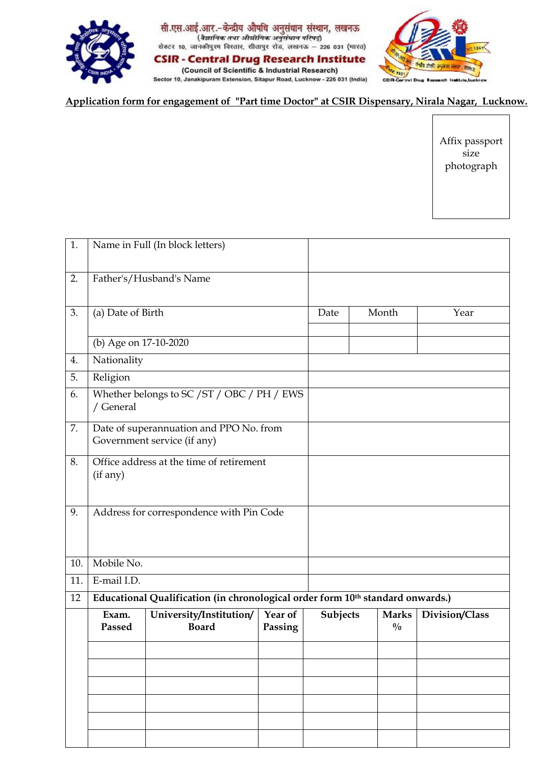

सी.एस.आई.आर.-केन्द्रीय औषधि अनुसंधान संस्थान, लखनऊ<br>(*रैज्ञानिक तथा औद्योगिक अनुसंधान परिषदे*)<br>सेक्टर 10, जानकीपुरम विस्तार, सीतापुर रोड, लखनऊ – 226 031 (मारत) **CSIR - Central Drug Research Institute** (Council of Scientific & Industrial Research)

Sector 10, Janakipuram Extension, Sitapur Road, Lucknow - 226 031 (India)



**Application form for engagement of "Part time Doctor" at CSIR Dispensary, Nirala Nagar, Lucknow.**

Affix passport size photograph

| 1.  |                                                                                | Name in Full (In block letters)         |                    |          |       |                               |                |
|-----|--------------------------------------------------------------------------------|-----------------------------------------|--------------------|----------|-------|-------------------------------|----------------|
| 2.  |                                                                                | Father's/Husband's Name                 |                    |          |       |                               |                |
| 3.  | (a) Date of Birth                                                              |                                         |                    | Date     | Month |                               | Year           |
|     | (b) Age on 17-10-2020                                                          |                                         |                    |          |       |                               |                |
| 4.  | Nationality                                                                    |                                         |                    |          |       |                               |                |
| 5.  | Religion                                                                       |                                         |                    |          |       |                               |                |
| 6.  | Whether belongs to SC / ST / OBC / PH / EWS<br>/ General                       |                                         |                    |          |       |                               |                |
| 7.  | Date of superannuation and PPO No. from<br>Government service (if any)         |                                         |                    |          |       |                               |                |
| 8.  | Office address at the time of retirement<br>(if any)                           |                                         |                    |          |       |                               |                |
| 9.  | Address for correspondence with Pin Code                                       |                                         |                    |          |       |                               |                |
| 10. | Mobile No.                                                                     |                                         |                    |          |       |                               |                |
| 11. | E-mail I.D.                                                                    |                                         |                    |          |       |                               |                |
| 12  | Educational Qualification (in chronological order form 10th standard onwards.) |                                         |                    |          |       |                               |                |
|     | Exam.<br>Passed                                                                | University/Institution/<br><b>Board</b> | Year of<br>Passing | Subjects |       | <b>Marks</b><br>$\frac{0}{0}$ | Division/Class |
|     |                                                                                |                                         |                    |          |       |                               |                |
|     |                                                                                |                                         |                    |          |       |                               |                |
|     |                                                                                |                                         |                    |          |       |                               |                |
|     |                                                                                |                                         |                    |          |       |                               |                |
|     |                                                                                |                                         |                    |          |       |                               |                |
|     |                                                                                |                                         |                    |          |       |                               |                |